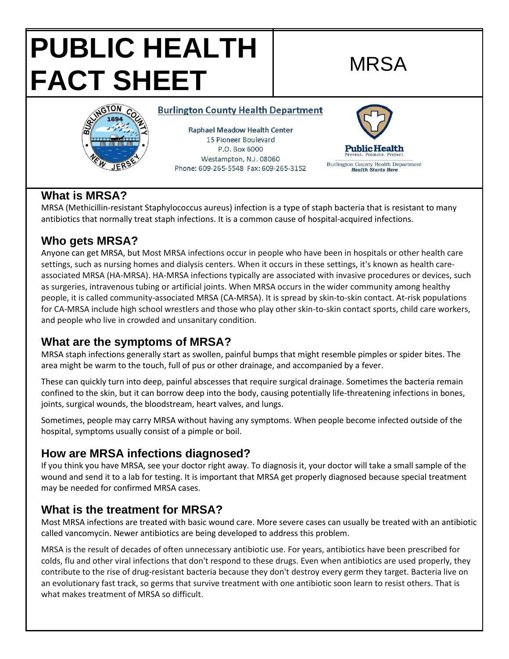# **PUBLIC HEALTH**  FACT SHEET



**Raphael Meadow Health Center** 15 Pioneer Boulevard P.O. Box 6000

**Burlington County Health Department** 

Westampton, N.J. 08060 Phone: 609-265-5548 Fax: 609-265-3152



#### **What is MRSA?**

MRSA (Methicillin-resistant Staphylococcus aureus) infection is a type of staph bacteria that is resistant to many antibiotics that normally treat staph infections. It is a common cause of hospital-acquired infections.

### **Who gets MRSA?**

Anyone can get MRSA, but Most MRSA infections occur in people who have been in hospitals or other health care settings, such as nursing homes and dialysis centers. When it occurs in these settings, it's known as health careassociated MRSA (HA-MRSA). HA-MRSA infections typically are associated with invasive procedures or devices, such as surgeries, intravenous tubing or artificial joints. When MRSA occurs in the wider community among healthy people, it is called community-associated MRSA (CA-MRSA). It is spread by skin-to-skin contact. At-risk populations for CA-MRSA include high school wrestlers and those who play other skin-to-skin contact sports, child care workers, and people who live in crowded and unsanitary condition.

#### **What are the symptoms of MRSA?**

MRSA staph infections generally start as swollen, painful bumps that might resemble pimples or spider bites. The area might be warm to the touch, full of pus or other drainage, and accompanied by a fever.

These can quickly turn into deep, painful abscesses that require surgical drainage. Sometimes the bacteria remain confined to the skin, but it can borrow deep into the body, causing potentially life-threatening infections in bones, joints, surgical wounds, the bloodstream, heart valves, and lungs.

Sometimes, people may carry MRSA without having any symptoms. When people become infected outside of the hospital, symptoms usually consist of a pimple or boil.

#### **How are MRSA infections diagnosed?**

If you think you have MRSA, see your doctor right away. To diagnosis it, your doctor will take a small sample of the wound and send it to a lab for testing. It is important that MRSA get properly diagnosed because special treatment may be needed for confirmed MRSA cases.

#### **What is the treatment for MRSA?**

Most MRSA infections are treated with basic wound care. More severe cases can usually be treated with an antibiotic called vancomycin. Newer antibiotics are being developed to address this problem.

MRSA is the result of decades of often unnecessary antibiotic use. For years, antibiotics have been prescribed for colds, flu and other viral infections that don't respond to these drugs. Even when antibiotics are used properly, they contribute to the rise of drug-resistant bacteria because they don't destroy every germ they target. Bacteria live on an evolutionary fast track, so germs that survive treatment with one antibiotic soon learn to resist others. That is what makes treatment of MRSA so difficult.